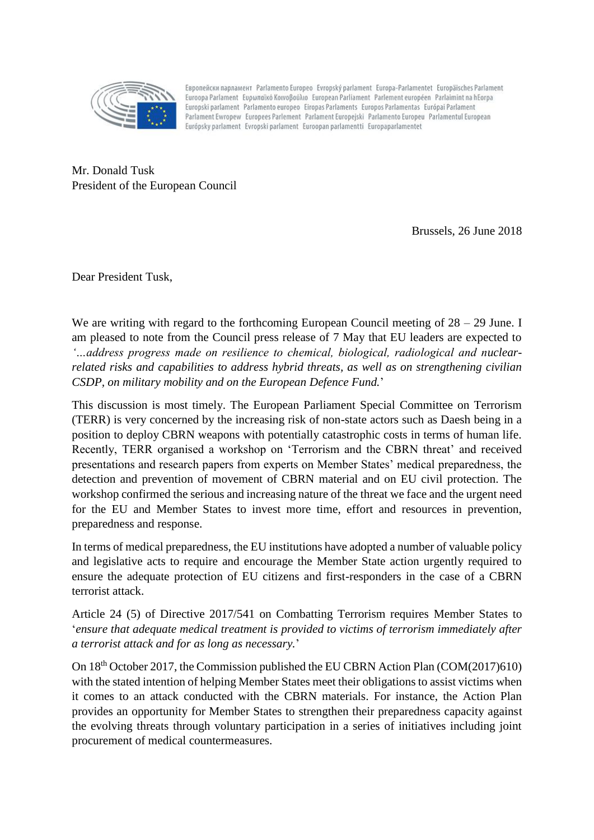

Европейски парламент Parlamento Europeo Evropský parlament Europa-Parlamentet Europäisches Parlament Euroopa Parlament Eupwnaïkó Koivoßoúλio European Parliament Parlement européen Parlaimint na hEorpa Europski parlament Parlamento europeo Eiropas Parlaments Europos Parlamentas Európai Parlament Parlament Ewropew Europees Parlement Parlament Europejski Parlamento Europeu Parlamentul European Európsky parlament Evropski parlament Euroopan parlamentti Europaparlamentet

Mr. Donald Tusk President of the European Council

Brussels, 26 June 2018

Dear President Tusk,

We are writing with regard to the forthcoming European Council meeting of  $28 - 29$  June. I am pleased to note from the Council press release of 7 May that EU leaders are expected to *'…address progress made on resilience to chemical, biological, radiological and nuclearrelated risks and capabilities to address hybrid threats, as well as on strengthening civilian CSDP, on military mobility and on the European Defence Fund.*'

This discussion is most timely. The European Parliament Special Committee on Terrorism (TERR) is very concerned by the increasing risk of non-state actors such as Daesh being in a position to deploy CBRN weapons with potentially catastrophic costs in terms of human life. Recently, TERR organised a workshop on 'Terrorism and the CBRN threat' and received presentations and research papers from experts on Member States' medical preparedness, the detection and prevention of movement of CBRN material and on EU civil protection. The workshop confirmed the serious and increasing nature of the threat we face and the urgent need for the EU and Member States to invest more time, effort and resources in prevention, preparedness and response.

In terms of medical preparedness, the EU institutions have adopted a number of valuable policy and legislative acts to require and encourage the Member State action urgently required to ensure the adequate protection of EU citizens and first-responders in the case of a CBRN terrorist attack.

Article 24 (5) of Directive 2017/541 on Combatting Terrorism requires Member States to '*ensure that adequate medical treatment is provided to victims of terrorism immediately after a terrorist attack and for as long as necessary.*'

On 18th October 2017, the Commission published the EU CBRN Action Plan (COM(2017)610) with the stated intention of helping Member States meet their obligations to assist victims when it comes to an attack conducted with the CBRN materials. For instance, the Action Plan provides an opportunity for Member States to strengthen their preparedness capacity against the evolving threats through voluntary participation in a series of initiatives including joint procurement of medical countermeasures.